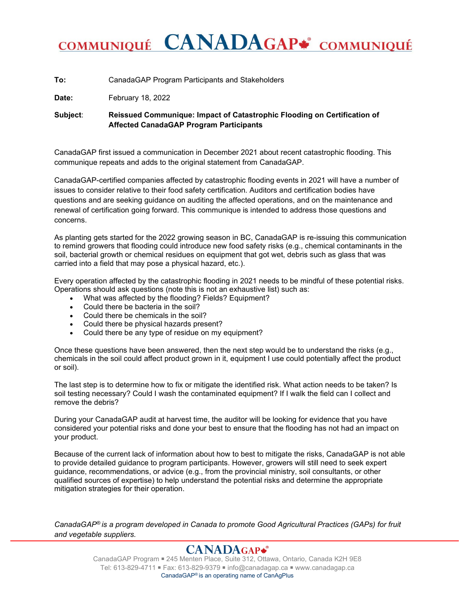# COMMUNIQUÉ CANADAGAP\* COMMUNIQUÉ

**To:** CanadaGAP Program Participants and Stakeholders

**Date:** February 18, 2022

**Subject**: **Reissued Communique: Impact of Catastrophic Flooding on Certification of Affected CanadaGAP Program Participants**

CanadaGAP first issued a communication in December 2021 about recent catastrophic flooding. This communique repeats and adds to the original statement from CanadaGAP.

CanadaGAP-certified companies affected by catastrophic flooding events in 2021 will have a number of issues to consider relative to their food safety certification. Auditors and certification bodies have questions and are seeking guidance on auditing the affected operations, and on the maintenance and renewal of certification going forward. This communique is intended to address those questions and concerns.

As planting gets started for the 2022 growing season in BC, CanadaGAP is re-issuing this communication to remind growers that flooding could introduce new food safety risks (e.g., chemical contaminants in the soil, bacterial growth or chemical residues on equipment that got wet, debris such as glass that was carried into a field that may pose a physical hazard, etc.).

Every operation affected by the catastrophic flooding in 2021 needs to be mindful of these potential risks. Operations should ask questions (note this is not an exhaustive list) such as:

- What was affected by the flooding? Fields? Equipment?
- Could there be bacteria in the soil?
- Could there be chemicals in the soil?
- Could there be physical hazards present?
- Could there be any type of residue on my equipment?

Once these questions have been answered, then the next step would be to understand the risks (e.g., chemicals in the soil could affect product grown in it, equipment I use could potentially affect the product or soil).

The last step is to determine how to fix or mitigate the identified risk. What action needs to be taken? Is soil testing necessary? Could I wash the contaminated equipment? If I walk the field can I collect and remove the debris?

During your CanadaGAP audit at harvest time, the auditor will be looking for evidence that you have considered your potential risks and done your best to ensure that the flooding has not had an impact on your product.

Because of the current lack of information about how to best to mitigate the risks, CanadaGAP is not able to provide detailed guidance to program participants. However, growers will still need to seek expert guidance, recommendations, or advice (e.g., from the provincial ministry, soil consultants, or other qualified sources of expertise) to help understand the potential risks and determine the appropriate mitigation strategies for their operation.

*CanadaGAP® is a program developed in Canada to promote Good Agricultural Practices (GAPs) for fruit and vegetable suppliers.*

## **CANADAGAP\***

CanadaGAP Program ■ 245 Menten Place, Suite 312, Ottawa, Ontario, Canada K2H 9E8 Tel: 613-829-4711 ■ Fax: 613-829-9379 ■ info@canadagap.ca ■ www.canadagap.ca CanadaGAP® is an operating name of CanAgPlus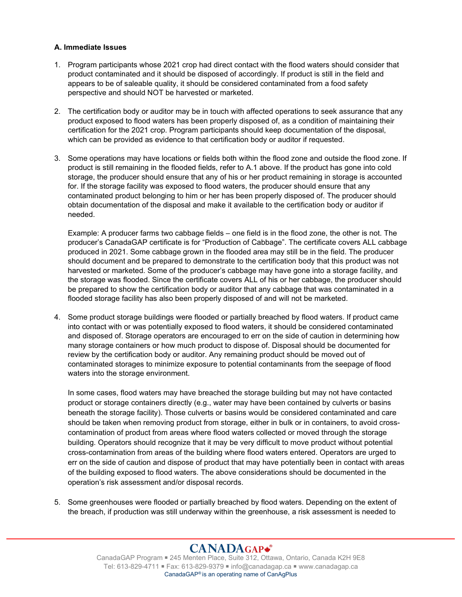#### **A. Immediate Issues**

- 1. Program participants whose 2021 crop had direct contact with the flood waters should consider that product contaminated and it should be disposed of accordingly. If product is still in the field and appears to be of saleable quality, it should be considered contaminated from a food safety perspective and should NOT be harvested or marketed.
- 2. The certification body or auditor may be in touch with affected operations to seek assurance that any product exposed to flood waters has been properly disposed of, as a condition of maintaining their certification for the 2021 crop. Program participants should keep documentation of the disposal, which can be provided as evidence to that certification body or auditor if requested.
- 3. Some operations may have locations or fields both within the flood zone and outside the flood zone. If product is still remaining in the flooded fields, refer to A.1 above. If the product has gone into cold storage, the producer should ensure that any of his or her product remaining in storage is accounted for. If the storage facility was exposed to flood waters, the producer should ensure that any contaminated product belonging to him or her has been properly disposed of. The producer should obtain documentation of the disposal and make it available to the certification body or auditor if needed.

Example: A producer farms two cabbage fields – one field is in the flood zone, the other is not. The producer's CanadaGAP certificate is for "Production of Cabbage". The certificate covers ALL cabbage produced in 2021. Some cabbage grown in the flooded area may still be in the field. The producer should document and be prepared to demonstrate to the certification body that this product was not harvested or marketed. Some of the producer's cabbage may have gone into a storage facility, and the storage was flooded. Since the certificate covers ALL of his or her cabbage, the producer should be prepared to show the certification body or auditor that any cabbage that was contaminated in a flooded storage facility has also been properly disposed of and will not be marketed.

4. Some product storage buildings were flooded or partially breached by flood waters. If product came into contact with or was potentially exposed to flood waters, it should be considered contaminated and disposed of. Storage operators are encouraged to err on the side of caution in determining how many storage containers or how much product to dispose of. Disposal should be documented for review by the certification body or auditor. Any remaining product should be moved out of contaminated storages to minimize exposure to potential contaminants from the seepage of flood waters into the storage environment.

In some cases, flood waters may have breached the storage building but may not have contacted product or storage containers directly (e.g., water may have been contained by culverts or basins beneath the storage facility). Those culverts or basins would be considered contaminated and care should be taken when removing product from storage, either in bulk or in containers, to avoid crosscontamination of product from areas where flood waters collected or moved through the storage building. Operators should recognize that it may be very difficult to move product without potential cross-contamination from areas of the building where flood waters entered. Operators are urged to err on the side of caution and dispose of product that may have potentially been in contact with areas of the building exposed to flood waters. The above considerations should be documented in the operation's risk assessment and/or disposal records.

5. Some greenhouses were flooded or partially breached by flood waters. Depending on the extent of the breach, if production was still underway within the greenhouse, a risk assessment is needed to

## CANADAGAP\*

CanadaGAP Program ■ 245 Menten Place, Suite 312, Ottawa, Ontario, Canada K2H 9E8 Tel: 613-829-4711 ■ Fax: 613-829-9379 ■ info@canadagap.ca ■ www.canadagap.ca CanadaGAP® is an operating name of CanAgPlus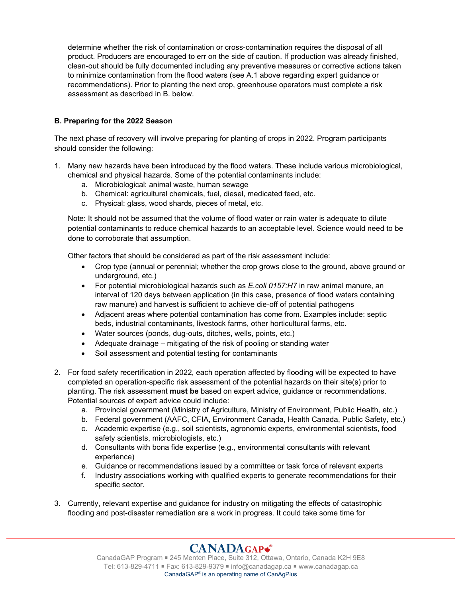determine whether the risk of contamination or cross-contamination requires the disposal of all product. Producers are encouraged to err on the side of caution. If production was already finished, clean-out should be fully documented including any preventive measures or corrective actions taken to minimize contamination from the flood waters (see A.1 above regarding expert guidance or recommendations). Prior to planting the next crop, greenhouse operators must complete a risk assessment as described in B. below.

#### **B. Preparing for the 2022 Season**

The next phase of recovery will involve preparing for planting of crops in 2022. Program participants should consider the following:

- 1. Many new hazards have been introduced by the flood waters. These include various microbiological, chemical and physical hazards. Some of the potential contaminants include:
	- a. Microbiological: animal waste, human sewage
	- b. Chemical: agricultural chemicals, fuel, diesel, medicated feed, etc.
	- c. Physical: glass, wood shards, pieces of metal, etc.

Note: It should not be assumed that the volume of flood water or rain water is adequate to dilute potential contaminants to reduce chemical hazards to an acceptable level. Science would need to be done to corroborate that assumption.

Other factors that should be considered as part of the risk assessment include:

- Crop type (annual or perennial; whether the crop grows close to the ground, above ground or underground, etc.)
- For potential microbiological hazards such as *E.coli 0157:H7* in raw animal manure, an interval of 120 days between application (in this case, presence of flood waters containing raw manure) and harvest is sufficient to achieve die-off of potential pathogens
- Adjacent areas where potential contamination has come from. Examples include: septic beds, industrial contaminants, livestock farms, other horticultural farms, etc.
- Water sources (ponds, dug-outs, ditches, wells, points, etc.)
- Adequate drainage mitigating of the risk of pooling or standing water
- Soil assessment and potential testing for contaminants
- 2. For food safety recertification in 2022, each operation affected by flooding will be expected to have completed an operation-specific risk assessment of the potential hazards on their site(s) prior to planting. The risk assessment **must be** based on expert advice, guidance or recommendations. Potential sources of expert advice could include:
	- a. Provincial government (Ministry of Agriculture, Ministry of Environment, Public Health, etc.)
	- b. Federal government (AAFC, CFIA, Environment Canada, Health Canada, Public Safety, etc.)
	- c. Academic expertise (e.g., soil scientists, agronomic experts, environmental scientists, food safety scientists, microbiologists, etc.)
	- d. Consultants with bona fide expertise (e.g., environmental consultants with relevant experience)
	- e. Guidance or recommendations issued by a committee or task force of relevant experts
	- f. Industry associations working with qualified experts to generate recommendations for their specific sector.
- 3. Currently, relevant expertise and guidance for industry on mitigating the effects of catastrophic flooding and post-disaster remediation are a work in progress. It could take some time for

## CANADAGAP\*

CanadaGAP Program ■ 245 Menten Place, Suite 312, Ottawa, Ontario, Canada K2H 9E8 Tel: 613-829-4711 ■ Fax: 613-829-9379 ■ info@canadagap.ca ■ www.canadagap.ca CanadaGAP® is an operating name of CanAgPlus